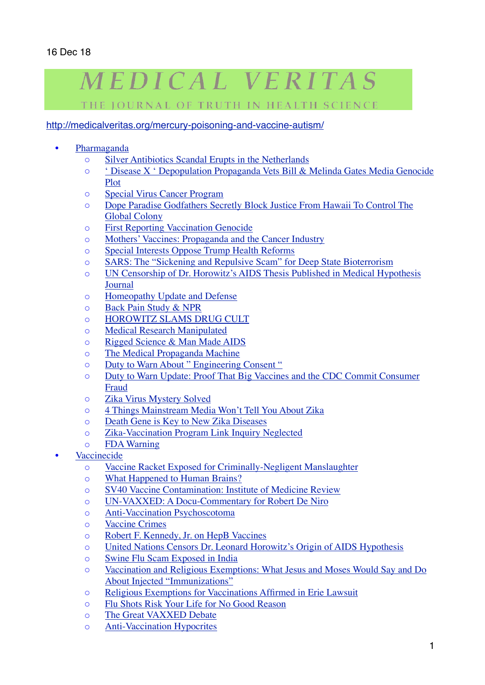## MEDICAL VERITAS

THE IOURNAL OF TRUTH IN HEALTH SCIENCE

## <http://medicalveritas.org/mercury-poisoning-and-vaccine-autism/>

- [Pharmaganda](http://medicalveritas.org/pharmaganda/)
	- [Silver Antibiotics Scandal Erupts in the Netherlands](http://medicalveritas.org/silver-antibiotics/)
	- [' Disease X ' Depopulation Propaganda Vets Bill & Melinda Gates Media Genocide](http://medicalveritas.org/disease-x/)  [Plot](http://medicalveritas.org/disease-x/)
	- [Special Virus Cancer Program](http://medicalveritas.org/special-virus-cancer-program-must-reading-for-cancer-researchers/)
	- [Dope Paradise Godfathers Secretly Block Justice From Hawaii To Control The](http://medicalveritas.org/dope-paradise-godfathers-secretly-block-justice-from-hawaii-to-control-the-global-colony/)  [Global Colony](http://medicalveritas.org/dope-paradise-godfathers-secretly-block-justice-from-hawaii-to-control-the-global-colony/)
	- [First Reporting Vaccination Genocide](http://medicalveritas.org/vaccination-genocide/)
	- [Mothers' Vaccines: Propaganda and the Cancer Industry](http://medicalveritas.org/mothers-vaccines/)
	- [Special Interests Oppose Trump Health Reforms](http://medicalveritas.org/health_reforms/)
	- [SARS: The "Sickening and Repulsive Scam" for Deep State Bioterrorism](http://medicalveritas.org/sars/)
	- [UN Censorship of Dr. Horowitz's AIDS Thesis Published in Medical Hypothesis](http://medicalveritas.org/un-censors-dr-horowitzs-aids-thesis-published-in-medical-hypothesis-journal/)  [Journal](http://medicalveritas.org/un-censors-dr-horowitzs-aids-thesis-published-in-medical-hypothesis-journal/)
	- [Homeopathy Update and Defense](http://medicalveritas.org/homeopathy-update/)
	- [Back Pain Study & NPR](http://medicalveritas.org/spinal_manipulation/)
	- [HOROWITZ SLAMS DRUG CULT](http://medicalveritas.org/horowitz-slams-drug-cult-genocide-amidst-spin-doctors/)
	- [Medical Research Manipulated](http://medicalveritas.org/leading-journals-agree-that-most-medical-research-manipulated-half-of-all-the-literature-is-false/)
	- [Rigged Science & Man Made AIDS](http://medicalveritas.org/rigged-science-man-made-aids/)
	- [The Medical Propaganda Machine](http://medicalveritas.org/medical-propaganda-machine/)
	- [Duty to Warn About " Engineering Consent "](http://medicalveritas.org/duty-to-warn/)
	- [Duty to Warn Update: Proof That Big Vaccines and the CDC Commit Consumer](http://medicalveritas.org/big-vaccines-fraud/)  [Fraud](http://medicalveritas.org/big-vaccines-fraud/)
	- [Zika Virus Mystery Solved](http://medicalveritas.org/zika-virus-mystery-solved/)
	- [4 Things Mainstream Media Won't Tell You About Zika](http://medicalveritas.org/4-things-mainstream-media-wont-tell-you-about-zika/)
	- [Death Gene is Key to New Zika Diseases](http://medicalveritas.org/death-gene-is-key-to-new-zika-diseases/)
	- [Zika-Vaccination Program Link Inquiry Neglected](http://medicalveritas.org/zika-vaccination-program-link-neglected/)
	- [FDA Warning](http://medicalveritas.org/fda-warning/)
- **[Vaccinecide](http://medicalveritas.org/articles-on-vaccines/)** 
	- [Vaccine Racket Exposed for Criminally-Negligent Manslaughter](http://medicalveritas.org/vaccine-racket-contaminates-nobel-prizes-school-mandates-evidence-criminally-negligent-manslaughter/)
	- [What Happened to Human Brains?](http://medicalveritas.org/mercury-poisoning-and-vaccine-autism/)
	- [SV40 Vaccine Contamination: Institute of Medicine Review](http://medicalveritas.org/sv40-vaccine-contamination-institute-of-medicine-review/)
	- [UN-VAXXED: A Docu-Commentary for Robert De Niro](http://medicalveritas.org/un-vaxxed-a-docu-commentary-for-robert-de-niro/)
	- [Anti-Vaccination Psychoscotoma](http://medicalveritas.org/anti-vaccination-psychoscotoma/)
	- [Vaccine Crimes](http://medicalveritas.org/vaccine-crimes/)
	- [Robert F. Kennedy, Jr. on HepB Vaccines](http://medicalveritas.org/robert-f-kennedy-jr-and-the-world-mercury-project-report-on-hepatitis-b-studies-foreword-by-dr-leonard-g-horowitz/)
	- [United Nations Censors Dr. Leonard Horowitz's Origin of AIDS Hypothesis](http://medicalveritas.org/united-nations-censors-dr-leonard-horowitzs-origin-of-aids-thesis/)
	- [Swine Flu Scam Exposed in India](http://medicalveritas.org/swine-flu-scam-exposed-in-india/)
	- [Vaccination and Religious Exemptions: What Jesus and Moses Would Say and Do](http://medicalveritas.org/religious-exemptions-from-vaccinations/)  [About Injected "Immunizations"](http://medicalveritas.org/religious-exemptions-from-vaccinations/)
	- [Religious Exemptions for Vaccinations Affirmed in Erie Lawsuit](http://medicalveritas.org/religious-exemptions-for-vaccinations-affirmed-in-erie-lawsuit/)
	- [Flu Shots Risk Your Life for No Good Reason](http://medicalveritas.org/flu-shots-risk-your-life-for-no-good-reason/)
	- o [The Great VAXXED Debate](http://medicalveritas.org/the-great-vaxxed-debate/)
	- [Anti-Vaccination Hypocrites](http://medicalveritas.org/anti-vaccination-hypocrites/)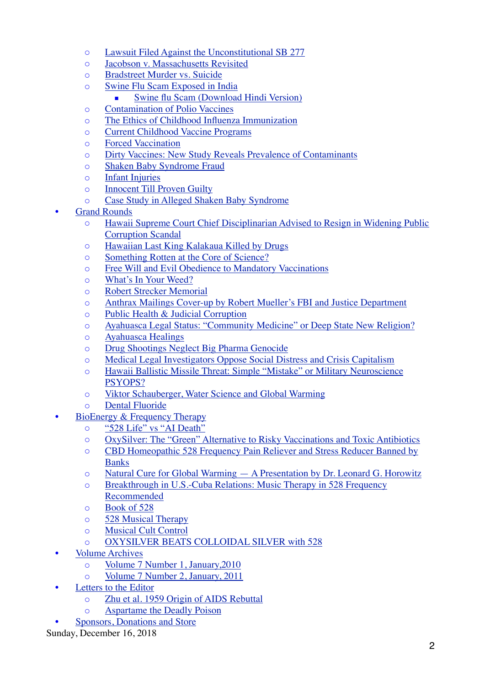- [Lawsuit Filed Against the Unconstitutional SB 277](http://medicalveritas.org/preliminary-injunction-against-unconstitutional-sb-277/)
- [Jacobson v. Massachusetts Revisited](http://medicalveritas.org/jacobson-v-massachusetts/)
- [Bradstreet Murder vs. Suicide](http://medicalveritas.org/dr-jeff-bradstreet-murder-vs-suicide-media-spin-evidences-organized-crime/)
- [Swine Flu Scam Exposed in India](http://medicalveritas.org/swine-flu-scam-exposed-in-india/)
	- [Swine flu Scam \(Download Hindi Version\)](http://medicalveritas.org/wp-content/uploads/2015/05/Swine-flue-Scam.pdf)
- [Contamination of Polio Vaccines](http://medicalveritas.org/contamination-of-polio-vaccines/)
- [The Ethics of Childhood Influenza Immunization](http://medicalveritas.org/the-ethics-of-childhood-influenza-immunization/)
- [Current Childhood Vaccine Programs](http://medicalveritas.org/current-childhood-vaccine-programs/)
- [Forced Vaccination](http://medicalveritas.org/forced-vaccination/)
- [Dirty Vaccines: New Study Reveals Prevalence of Contaminants](http://medicalveritas.org/dirty-vaccines-new-study-reveals-prevalence-of-contaminants/)
- [Shaken Baby Syndrome Fraud](http://medicalveritas.org/shaken-baby-syndrome-fraud/)
- [Infant Injuries](http://medicalveritas.org/infant-injuries/)
- [Innocent Till Proven Guilty](http://medicalveritas.org/innocent-till-proven-guilty/)
- [Case Study in Alleged Shaken Baby Syndrome](http://medicalveritas.org/case-study-in-alleged-shaken-baby-syndrome/)
- **[Grand Rounds](http://medicalveritas.org/sids/)** 
	- [Hawaii Supreme Court Chief Disciplinarian Advised to Resign in Widening Public](http://medicalveritas.org/hawaii-supreme-court/)  [Corruption Scandal](http://medicalveritas.org/hawaii-supreme-court/)
	- [Hawaiian Last King Kalakaua Killed by Drugs](http://medicalveritas.org/hawaiian-last-king-kalakaua-killed-by-drugs/)
	- [Something Rotten at the Core of Science?](http://medicalveritas.org/something-rotten-at-the-core-of-science/)
	- [Free Will and Evil Obedience to Mandatory Vaccinations](http://medicalveritas.org/free-will/)
	- [What's In Your Weed?](http://medicalveritas.org/cannabis-ingredients/)
	- [Robert Strecker Memorial](http://medicalveritas.org/robert-strecker-memorial/)
	- [Anthrax Mailings Cover-up by Robert Mueller's FBI and Justice Department](http://medicalveritas.org/anthrax-mailings-cover-up/)
	- [Public Health & Judicial Corruption](http://medicalveritas.org/public-health-judicial-corruption-a-commentary-on-the-courts-public-health-and-legal-preparedness-review-by-stier-nicks-et-al/)
	- [Ayahuasca Legal Status: "Community Medicine" or Deep State New Religion?](http://medicalveritas.org/ayahuasca-legal-status/)
	- [Ayahuasca Healings](http://medicalveritas.org/the-religious-freedom-restoration-act-the-dea-exemption-process-and-ayahuasca-healings/)
	- [Drug Shootings Neglect Big Pharma Genocide](http://medicalveritas.org/drug-shootings-neglect-big-pharma-genocide/)
	- [Medical Legal Investigators Oppose Social Distress and Crisis Capitalism](http://medicalveritas.org/social-distress-nuclear-threat/)
	- [Hawaii Ballistic Missile Threat: Simple "Mistake" or Military Neuroscience](http://medicalveritas.org/hawaii-ballistic-missile-threat/)  [PSYOPS?](http://medicalveritas.org/hawaii-ballistic-missile-threat/)
	- [Viktor Schauberger, Water Science and Global Warming](http://medicalveritas.org/viktor-schauberger/)
	- [Dental Fluoride](http://medicalveritas.org/dental-fluoride-an-open-letter-about-the-deadly-poison/)
- [BioEnergy & Frequency Therapy](http://medicalveritas.org/528-music-therapy/)
	- ["528 Life" vs "AI Death"](http://medicalveritas.org/528-life/)
	- [OxySilver: The "Green" Alternative to Risky Vaccinations and Toxic Antibiotics](http://medicalveritas.org/oxysilver/)
	- [CBD Homeopathic 528 Frequency Pain Reliever and Stress Reducer Banned by](http://medicalveritas.org/cbd-homeopathic/)  [Banks](http://medicalveritas.org/cbd-homeopathic/)
	- [Natural Cure for Global Warming A Presentation by Dr. Leonard G. Horowitz](http://medicalveritas.org/natural-cure-for-global-warming-a-presentation-by-dr-leonard-g-horowitz/)
	- [Breakthrough in U.S.-Cuba Relations: Music Therapy in 528 Frequency](http://medicalveritas.org/breakthrough-in-u-s-cuba-relations-music-therapy-in-528-frequency-recommended/)  [Recommended](http://medicalveritas.org/breakthrough-in-u-s-cuba-relations-music-therapy-in-528-frequency-recommended/)
	- [Book of 528](http://medicalveritas.org/book-of-528-review/)
	- [528 Musical Therapy](http://medicalveritas.org/breakthrough-in-u-s-cuba-relations-music-therapy-in-528-frequency-recommended/)
	- [Musical Cult Control](http://medicalveritas.org/musical-cult-control/)
	- [OXYSILVER BEATS COLLOIDAL SILVER with 528](http://medicalveritas.org/oxysilver-beats-colloidal-silver/)
- [Volume Archives](http://medicalveritas.org/volume-archives/)
	- [Volume 7 Number 1, January,2010](http://medicalveritas.org/volume-7-number-1-january-2010/)
	- [Volume 7 Number 2, January, 2011](http://medicalveritas.org/volume-7-number-2-january-2011/)
- [Letters to the Editor](http://medicalveritas.org/letters-to-the-editor/)
	- [Zhu et al. 1959 Origin of AIDS Rebuttal](http://medicalveritas.org/zhu-et-al-1959-origin-of-aids-rebuttal/)
	- [Aspartame the Deadly Poison](http://medicalveritas.org/aspartame/)
	- [Sponsors, Donations and Store](http://medicalveritas.org/donations/)

Sunday, December 16, 2018